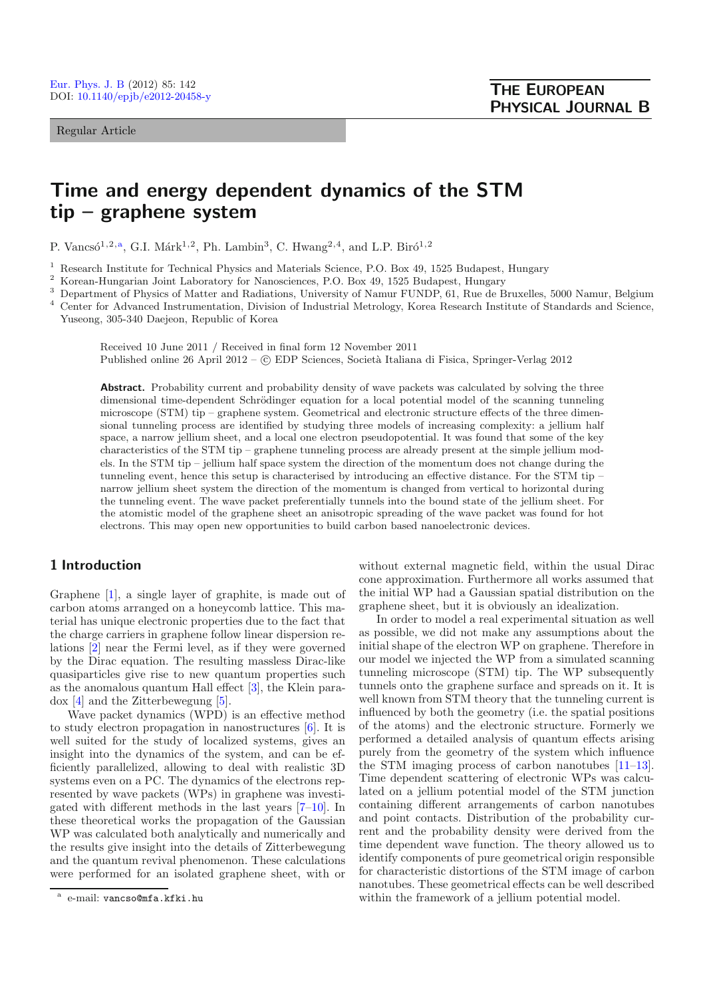Regular Article

# **Time and energy dependent dynamics of the STM tip – graphene system**

P. Vancsó<sup>1,2,a</sup>, G.I. Márk<sup>1,2</sup>, Ph. Lambin<sup>3</sup>, C. Hwang<sup>2,4</sup>, and L.P. Biró<sup>1,2</sup>

<sup>1</sup> Research Institute for Technical Physics and Materials Science, P.O. Box 49, 1525 Budapest, Hungary<br><sup>2</sup> Koroan Hungarian Joint Laboratory for Nanosciences, P.O. Box 49, 1525 Budapest, Hungary

<sup>2</sup> Korean-Hungarian Joint Laboratory for Nanosciences, P.O. Box 49, 1525 Budapest, Hungary

<sup>3</sup> Department of Physics of Matter and Radiations, University of Namur FUNDP, 61, Rue de Bruxelles, 5000 Namur, Belgium

<sup>4</sup> Center for Advanced Instrumentation, Division of Industrial Metrology, Korea Research Institute of Standards and Science, Yuseong, 305-340 Daejeon, Republic of Korea

Received 10 June 2011 / Received in final form 12 November 2011 Published online 26 April 2012 –  $\odot$  EDP Sciences, Società Italiana di Fisica, Springer-Verlag 2012

Abstract. Probability current and probability density of wave packets was calculated by solving the three dimensional time-dependent Schrödinger equation for a local potential model of the scanning tunneling microscope (STM) tip – graphene system. Geometrical and electronic structure effects of the three dimensional tunneling process are identified by studying three models of increasing complexity: a jellium half space, a narrow jellium sheet, and a local one electron pseudopotential. It was found that some of the key characteristics of the STM tip – graphene tunneling process are already present at the simple jellium models. In the STM tip – jellium half space system the direction of the momentum does not change during the tunneling event, hence this setup is characterised by introducing an effective distance. For the STM tip – narrow jellium sheet system the direction of the momentum is changed from vertical to horizontal during the tunneling event. The wave packet preferentially tunnels into the bound state of the jellium sheet. For the atomistic model of the graphene sheet an anisotropic spreading of the wave packet was found for hot electrons. This may open new opportunities to build carbon based nanoelectronic devices.

## **1 Introduction**

Graphene [\[1](#page-6-0)], a single layer of graphite, is made out of carbon atoms arranged on a honeycomb lattice. This material has unique electronic properties due to the fact that the charge carriers in graphene follow linear dispersion relations [\[2\]](#page-6-1) near the Fermi level, as if they were governed by the Dirac equation. The resulting massless Dirac-like quasiparticles give rise to new quantum properties such as the anomalous quantum Hall effect [\[3\]](#page-6-2), the Klein paradox [\[4\]](#page-6-3) and the Zitterbewegung [\[5\]](#page-6-4).

Wave packet dynamics (WPD) is an effective method to study electron propagation in nanostructures [\[6](#page-6-5)]. It is well suited for the study of localized systems, gives an insight into the dynamics of the system, and can be efficiently parallelized, allowing to deal with realistic 3D systems even on a PC. The dynamics of the electrons represented by wave packets (WPs) in graphene was investigated with different methods in the last years [\[7](#page-6-6)[–10\]](#page-6-7). In these theoretical works the propagation of the Gaussian WP was calculated both analytically and numerically and the results give insight into the details of Zitterbewegung and the quantum revival phenomenon. These calculations were performed for an isolated graphene sheet, with or

without external magnetic field, within the usual Dirac cone approximation. Furthermore all works assumed that the initial WP had a Gaussian spatial distribution on the graphene sheet, but it is obviously an idealization.

In order to model a real experimental situation as well as possible, we did not make any assumptions about the initial shape of the electron WP on graphene. Therefore in our model we injected the WP from a simulated scanning tunneling microscope (STM) tip. The WP subsequently tunnels onto the graphene surface and spreads on it. It is well known from STM theory that the tunneling current is influenced by both the geometry (i.e. the spatial positions of the atoms) and the electronic structure. Formerly we performed a detailed analysis of quantum effects arising purely from the geometry of the system which influence the STM imaging process of carbon nanotubes [\[11](#page-6-8)[–13\]](#page-6-9). Time dependent scattering of electronic WPs was calculated on a jellium potential model of the STM junction containing different arrangements of carbon nanotubes and point contacts. Distribution of the probability current and the probability density were derived from the time dependent wave function. The theory allowed us to identify components of pure geometrical origin responsible for characteristic distortions of the STM image of carbon nanotubes. These geometrical effects can be well described within the framework of a jellium potential model.

e-mail: vancso@mfa.kfki.hu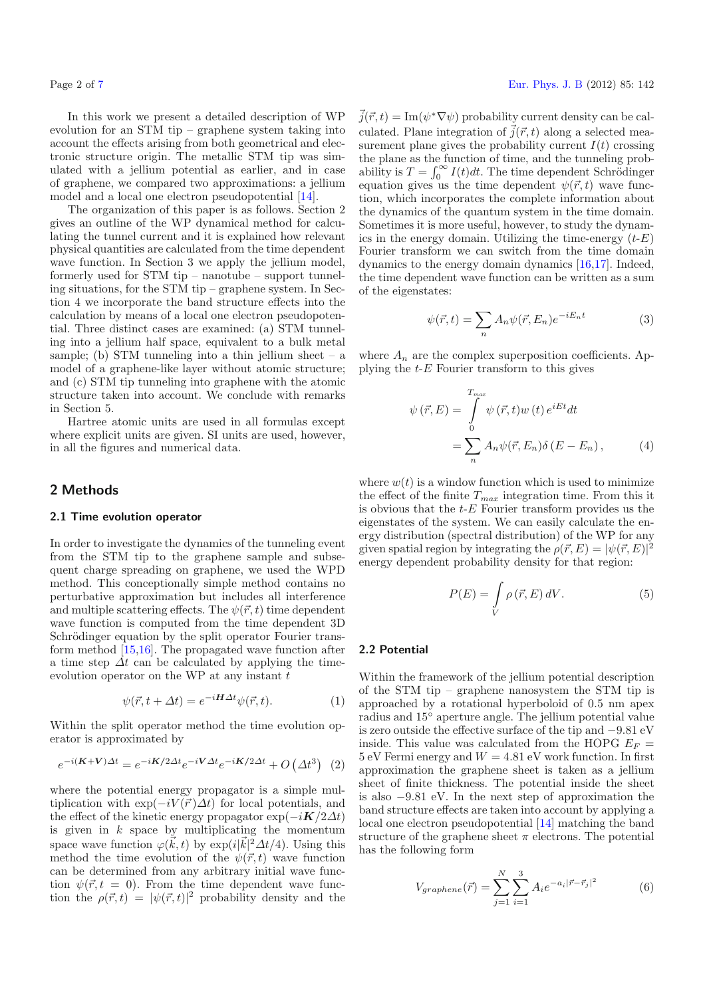In this work we present a detailed description of WP evolution for an STM tip – graphene system taking into account the effects arising from both geometrical and electronic structure origin. The metallic STM tip was simulated with a jellium potential as earlier, and in case of graphene, we compared two approximations: a jellium model and a local one electron pseudopotential [\[14\]](#page-6-11).

The organization of this paper is as follows. Section 2 gives an outline of the WP dynamical method for calculating the tunnel current and it is explained how relevant physical quantities are calculated from the time dependent wave function. In Section 3 we apply the jellium model, formerly used for STM tip – nanotube – support tunneling situations, for the STM tip – graphene system. In Section 4 we incorporate the band structure effects into the calculation by means of a local one electron pseudopotential. Three distinct cases are examined: (a) STM tunneling into a jellium half space, equivalent to a bulk metal sample; (b) STM tunneling into a thin jellium sheet  $-$  a model of a graphene-like layer without atomic structure; and (c) STM tip tunneling into graphene with the atomic structure taken into account. We conclude with remarks in Section 5.

Hartree atomic units are used in all formulas except where explicit units are given. SI units are used, however, in all the figures and numerical data.

## **2 Methods**

#### **2.1 Time evolution operator**

In order to investigate the dynamics of the tunneling event from the STM tip to the graphene sample and subsequent charge spreading on graphene, we used the WPD method. This conceptionally simple method contains no perturbative approximation but includes all interference and multiple scattering effects. The  $\psi(\vec{r},t)$  time dependent wave function is computed from the time dependent 3D Schrödinger equation by the split operator Fourier transform method [\[15](#page-6-12)[,16](#page-6-13)]. The propagated wave function after a time step  $\Delta t$  can be calculated by applying the timeevolution operator on the WP at any instant  $t$ 

$$
\psi(\vec{r}, t + \Delta t) = e^{-i\mathbf{H}\Delta t} \psi(\vec{r}, t). \tag{1}
$$

Within the split operator method the time evolution operator is approximated by

$$
e^{-i(\mathbf{K}+\mathbf{V})\Delta t} = e^{-i\mathbf{K}/2\Delta t}e^{-i\mathbf{V}\Delta t}e^{-i\mathbf{K}/2\Delta t} + O\left(\Delta t^3\right) \tag{2}
$$

where the potential energy propagator is a simple multiplication with  $\exp(-iV(\vec{r})\Delta t)$  for local potentials, and the effect of the kinetic energy propagator  $\exp(-i\mathbf{K}/2\Delta t)$ is given in  $k$  space by multiplicating the momentum space wave function  $\varphi(\vec{k}, t)$  by  $\exp(i|\vec{k}|^2 \Delta t/4)$ . Using this method the time evolution of the  $\psi(\vec{r},t)$  wave function can be determined from any arbitrary initial wave function  $\psi(\vec{r}, t = 0)$ . From the time dependent wave function the  $\rho(\vec{r},t) = |\psi(\vec{r},t)|^2$  probability density and the  $\vec{j}(\vec{r},t) = \text{Im}(\psi^* \nabla \psi)$  probability current density can be calculated. Plane integration of  $\vec{j}(\vec{r},t)$  along a selected measurement plane gives the probability current  $I(t)$  crossing the plane as the function of time, and the tunneling probability is  $T = \int_0^\infty I(t)dt$ . The time dependent Schrödinger equation gives us the time dependent  $\psi(\vec{r}, t)$  wave function, which incorporates the complete information about the dynamics of the quantum system in the time domain. Sometimes it is more useful, however, to study the dynamics in the energy domain. Utilizing the time-energy  $(t-E)$ Fourier transform we can switch from the time domain dynamics to the energy domain dynamics [\[16](#page-6-13)[,17\]](#page-6-14). Indeed, the time dependent wave function can be written as a sum of the eigenstates:

$$
\psi(\vec{r},t) = \sum_{n} A_n \psi(\vec{r},E_n) e^{-iE_n t} \tag{3}
$$

where  $A_n$  are the complex superposition coefficients. Applying the  $t$ - $E$  Fourier transform to this gives

$$
\psi(\vec{r}, E) = \int_{0}^{T_{max}} \psi(\vec{r}, t) w(t) e^{iEt} dt
$$

$$
= \sum_{n} A_n \psi(\vec{r}, E_n) \delta(E - E_n), \qquad (4)
$$

where  $w(t)$  is a window function which is used to minimize the effect of the finite  $T_{max}$  integration time. From this it is obvious that the  $t$ -E Fourier transform provides us the eigenstates of the system. We can easily calculate the energy distribution (spectral distribution) of the WP for any given spatial region by integrating the  $\rho(\vec{r}, E) = |\psi(\vec{r}, E)|^2$ energy dependent probability density for that region:

$$
P(E) = \int\limits_V \rho(\vec{r}, E) \, dV. \tag{5}
$$

#### **2.2 Potential**

Within the framework of the jellium potential description of the STM tip – graphene nanosystem the STM tip is approached by a rotational hyperboloid of 0.5 nm apex radius and 15◦ aperture angle. The jellium potential value is zero outside the effective surface of the tip and <sup>−</sup>9.81 eV inside. This value was calculated from the HOPG  $E_F =$  $5 \text{ eV}$  Fermi energy and  $W = 4.81 \text{ eV}$  work function. In first approximation the graphene sheet is taken as a jellium sheet of finite thickness. The potential inside the sheet is also <sup>−</sup>9.81 eV. In the next step of approximation the band structure effects are taken into account by applying a local one electron pseudopotential [\[14](#page-6-11)] matching the band structure of the graphene sheet  $\pi$  electrons. The potential has the following form

$$
V_{graphene}(\vec{r}) = \sum_{j=1}^{N} \sum_{i=1}^{3} A_i e^{-a_i |\vec{r} - \vec{r}_j|^2}
$$
(6)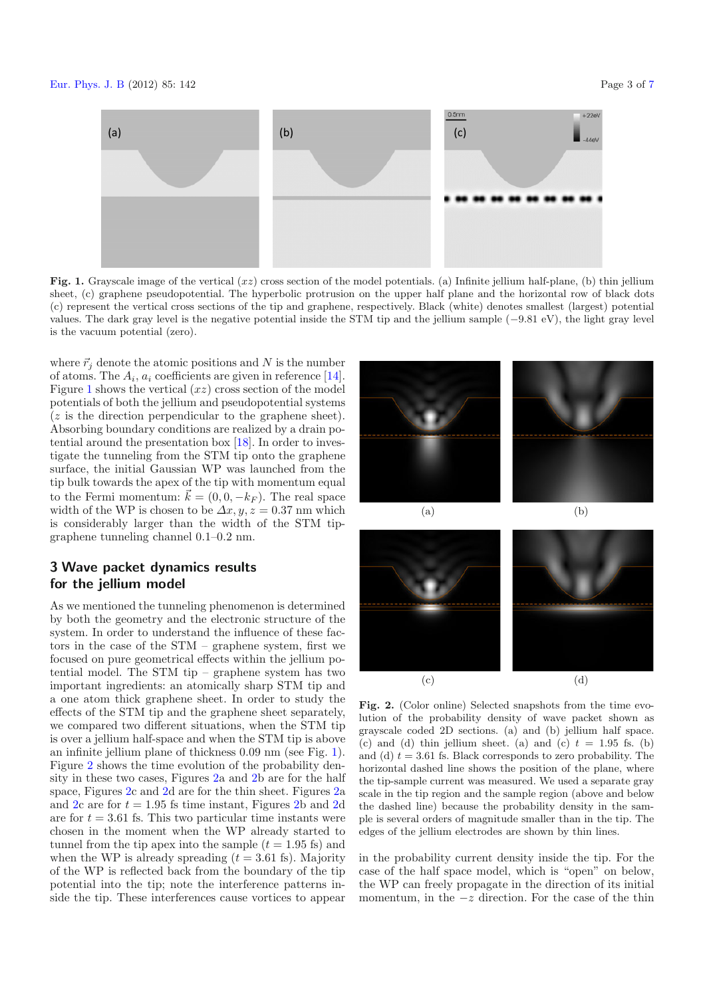<span id="page-2-0"></span>

**Fig. 1.** Grayscale image of the vertical (*xz*) cross section of the model potentials. (a) Infinite jellium half-plane, (b) thin jellium sheet, (c) graphene pseudopotential. The hyperbolic protrusion on the upper half plane and the horizontal row of black dots (c) represent the vertical cross sections of the tip and graphene, respectively. Black (white) denotes smallest (largest) potential values. The dark gray level is the negative potential inside the STM tip and the jellium sample (−9*.*81 eV), the light gray level is the vacuum potential (zero).

where  $\vec{r}_i$  denote the atomic positions and N is the number of atoms. The  $A_i$ ,  $a_i$  coefficients are given in reference [\[14\]](#page-6-11). Figure [1](#page-2-0) shows the vertical  $(xz)$  cross section of the model potentials of both the jellium and pseudopotential systems (z is the direction perpendicular to the graphene sheet). Absorbing boundary conditions are realized by a drain potential around the presentation box [\[18\]](#page-6-15). In order to investigate the tunneling from the STM tip onto the graphene surface, the initial Gaussian WP was launched from the tip bulk towards the apex of the tip with momentum equal to the Fermi momentum:  $\vec{k} = (0, 0, -k_F)$ . The real space width of the WP is chosen to be  $\Delta x, y, z = 0.37$  nm which is considerably larger than the width of the STM tipgraphene tunneling channel 0.1–0.2 nm.

## **3 Wave packet dynamics results for the jellium model**

As we mentioned the tunneling phenomenon is determined by both the geometry and the electronic structure of the system. In order to understand the influence of these factors in the case of the STM – graphene system, first we focused on pure geometrical effects within the jellium potential model. The STM tip – graphene system has two important ingredients: an atomically sharp STM tip and a one atom thick graphene sheet. In order to study the effects of the STM tip and the graphene sheet separately, we compared two different situations, when the STM tip is over a jellium half-space and when the STM tip is above an infinite jellium plane of thickness 0.09 nm (see Fig. [1\)](#page-2-0). Figure [2](#page-2-1) shows the time evolution of the probability density in these two cases, Figures [2a](#page-2-1) and [2b](#page-2-1) are for the half space, Figures [2c](#page-2-1) and [2d](#page-2-1) are for the thin sheet. Figures [2a](#page-2-1) and [2c](#page-2-1) are for  $t = 1.95$  fs time instant, Figures [2b](#page-2-1) and [2d](#page-2-1) are for  $t = 3.61$  fs. This two particular time instants were chosen in the moment when the WP already started to tunnel from the tip apex into the sample  $(t = 1.95 \text{ fs})$  and when the WP is already spreading  $(t = 3.61 \text{ fs})$ . Majority of the WP is reflected back from the boundary of the tip potential into the tip; note the interference patterns inside the tip. These interferences cause vortices to appear



<span id="page-2-1"></span>**Fig. 2.** (Color online) Selected snapshots from the time evolution of the probability density of wave packet shown as grayscale coded 2D sections. (a) and (b) jellium half space. (c) and (d) thin jellium sheet. (a) and (c)  $t = 1.95$  fs. (b) and (d)  $t = 3.61$  fs. Black corresponds to zero probability. The horizontal dashed line shows the position of the plane, where the tip-sample current was measured. We used a separate gray scale in the tip region and the sample region (above and below the dashed line) because the probability density in the sample is several orders of magnitude smaller than in the tip. The edges of the jellium electrodes are shown by thin lines.

 $\qquad \qquad \textbf{(c)}\qquad \qquad \textbf{(d)}$ 

in the probability current density inside the tip. For the case of the half space model, which is "open" on below, the WP can freely propagate in the direction of its initial momentum, in the  $-z$  direction. For the case of the thin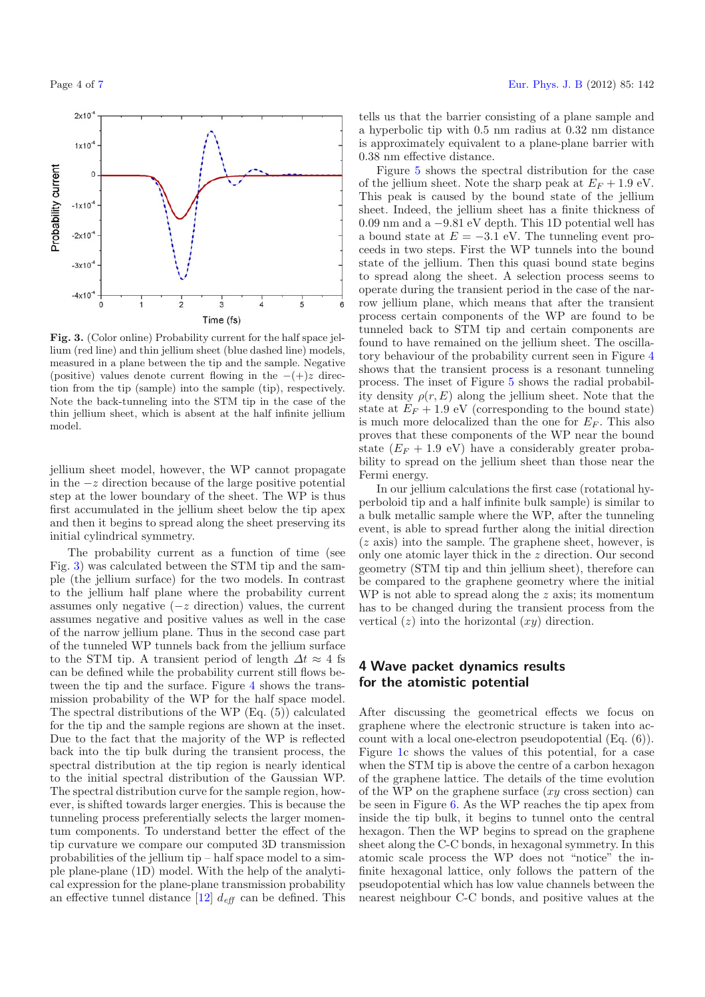<span id="page-3-0"></span>

**Fig. 3.** (Color online) Probability current for the half space jellium (red line) and thin jellium sheet (blue dashed line) models, measured in a plane between the tip and the sample. Negative (positive) values denote current flowing in the −(+)*z* direction from the tip (sample) into the sample (tip), respectively. Note the back-tunneling into the STM tip in the case of the thin jellium sheet, which is absent at the half infinite jellium model.

jellium sheet model, however, the WP cannot propagate in the  $-z$  direction because of the large positive potential step at the lower boundary of the sheet. The WP is thus first accumulated in the jellium sheet below the tip apex and then it begins to spread along the sheet preserving its initial cylindrical symmetry.

The probability current as a function of time (see Fig. [3\)](#page-3-0) was calculated between the STM tip and the sample (the jellium surface) for the two models. In contrast to the jellium half plane where the probability current assumes only negative  $(-z$  direction) values, the current assumes negative and positive values as well in the case of the narrow jellium plane. Thus in the second case part of the tunneled WP tunnels back from the jellium surface to the STM tip. A transient period of length  $\Delta t \approx 4$  fs can be defined while the probability current still flows between the tip and the surface. Figure [4](#page-4-0) shows the transmission probability of the WP for the half space model. The spectral distributions of the WP (Eq. (5)) calculated for the tip and the sample regions are shown at the inset. Due to the fact that the majority of the WP is reflected back into the tip bulk during the transient process, the spectral distribution at the tip region is nearly identical to the initial spectral distribution of the Gaussian WP. The spectral distribution curve for the sample region, however, is shifted towards larger energies. This is because the tunneling process preferentially selects the larger momentum components. To understand better the effect of the tip curvature we compare our computed 3D transmission probabilities of the jellium tip – half space model to a simple plane-plane (1D) model. With the help of the analytical expression for the plane-plane transmission probability an effective tunnel distance [\[12](#page-6-16)]  $d_{\text{eff}}$  can be defined. This

tells us that the barrier consisting of a plane sample and a hyperbolic tip with 0.5 nm radius at 0.32 nm distance is approximately equivalent to a plane-plane barrier with 0.38 nm effective distance.

Figure [5](#page-4-1) shows the spectral distribution for the case of the jellium sheet. Note the sharp peak at  $E_F + 1.9 \text{ eV}$ . This peak is caused by the bound state of the jellium sheet. Indeed, the jellium sheet has a finite thickness of 0.09 nm and a <sup>−</sup>9.81 eV depth. This 1D potential well has a bound state at  $E = -3.1$  eV. The tunneling event proceeds in two steps. First the WP tunnels into the bound state of the jellium. Then this quasi bound state begins to spread along the sheet. A selection process seems to operate during the transient period in the case of the narrow jellium plane, which means that after the transient process certain components of the WP are found to be tunneled back to STM tip and certain components are found to have remained on the jellium sheet. The oscillatory behaviour of the probability current seen in Figure [4](#page-4-0) shows that the transient process is a resonant tunneling process. The inset of Figure [5](#page-4-1) shows the radial probability density  $\rho(r, E)$  along the jellium sheet. Note that the state at  $E_F + 1.9$  eV (corresponding to the bound state) is much more delocalized than the one for  $E_F$ . This also proves that these components of the WP near the bound state  $(E_F + 1.9 \text{ eV})$  have a considerably greater probability to spread on the jellium sheet than those near the Fermi energy.

In our jellium calculations the first case (rotational hyperboloid tip and a half infinite bulk sample) is similar to a bulk metallic sample where the WP, after the tunneling event, is able to spread further along the initial direction (z axis) into the sample. The graphene sheet, however, is only one atomic layer thick in the z direction. Our second geometry (STM tip and thin jellium sheet), therefore can be compared to the graphene geometry where the initial WP is not able to spread along the z axis; its momentum has to be changed during the transient process from the vertical  $(z)$  into the horizontal  $(xy)$  direction.

## **4 Wave packet dynamics results for the atomistic potential**

After discussing the geometrical effects we focus on graphene where the electronic structure is taken into account with a local one-electron pseudopotential (Eq. (6)). Figure [1c](#page-2-0) shows the values of this potential, for a case when the STM tip is above the centre of a carbon hexagon of the graphene lattice. The details of the time evolution of the WP on the graphene surface  $(xy \csc s)$  can be seen in Figure [6.](#page-5-0) As the WP reaches the tip apex from inside the tip bulk, it begins to tunnel onto the central hexagon. Then the WP begins to spread on the graphene sheet along the C-C bonds, in hexagonal symmetry. In this atomic scale process the WP does not "notice" the infinite hexagonal lattice, only follows the pattern of the pseudopotential which has low value channels between the nearest neighbour C-C bonds, and positive values at the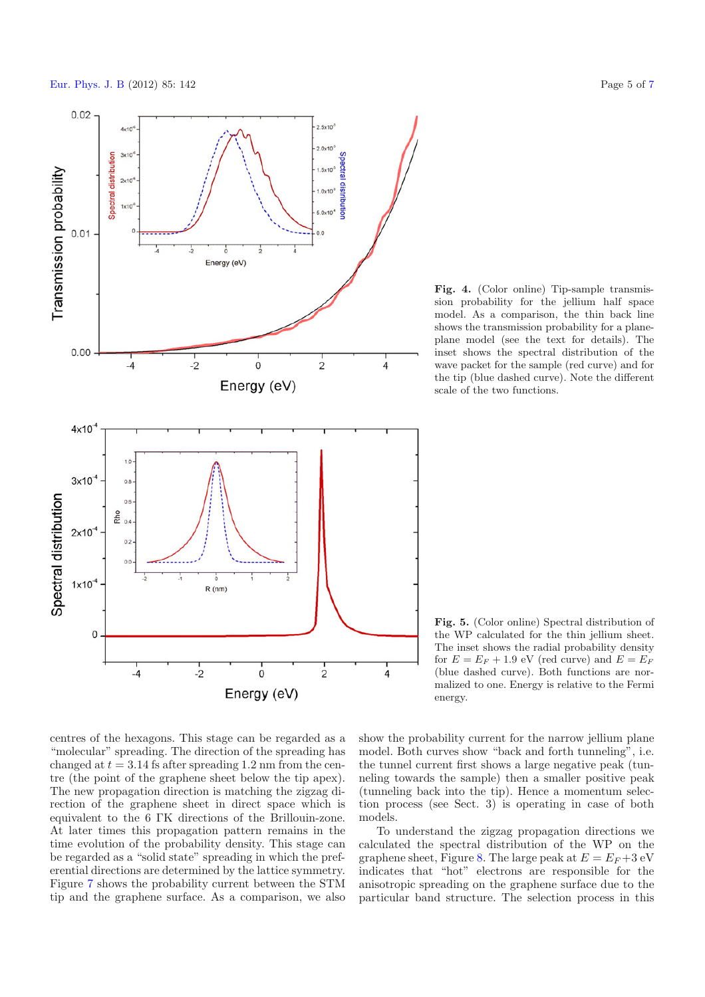

<span id="page-4-0"></span>**Fig. 4.** (Color online) Tip-sample transmission probability for the jellium half space model. As a comparison, the thin back line shows the transmission probability for a planeplane model (see the text for details). The inset shows the spectral distribution of the wave packet for the sample (red curve) and for the tip (blue dashed curve). Note the different scale of the two functions.

<span id="page-4-1"></span>**Fig. 5.** (Color online) Spectral distribution of the WP calculated for the thin jellium sheet. The inset shows the radial probability density for  $E = E_F + 1.9$  eV (red curve) and  $E = E_F$ (blue dashed curve). Both functions are normalized to one. Energy is relative to the Fermi energy.

centres of the hexagons. This stage can be regarded as a "molecular" spreading. The direction of the spreading has changed at  $t = 3.14$  fs after spreading 1.2 nm from the centre (the point of the graphene sheet below the tip apex). The new propagation direction is matching the zigzag direction of the graphene sheet in direct space which is equivalent to the 6 ΓK directions of the Brillouin-zone. At later times this propagation pattern remains in the time evolution of the probability density. This stage can be regarded as a "solid state" spreading in which the preferential directions are determined by the lattice symmetry. Figure [7](#page-5-1) shows the probability current between the STM tip and the graphene surface. As a comparison, we also

show the probability current for the narrow jellium plane model. Both curves show "back and forth tunneling", i.e. the tunnel current first shows a large negative peak (tunneling towards the sample) then a smaller positive peak (tunneling back into the tip). Hence a momentum selection process (see Sect. 3) is operating in case of both models.

To understand the zigzag propagation directions we calculated the spectral distribution of the WP on the graphene sheet, Figure [8.](#page-6-17) The large peak at  $E = E_F + 3$  eV indicates that "hot" electrons are responsible for the anisotropic spreading on the graphene surface due to the particular band structure. The selection process in this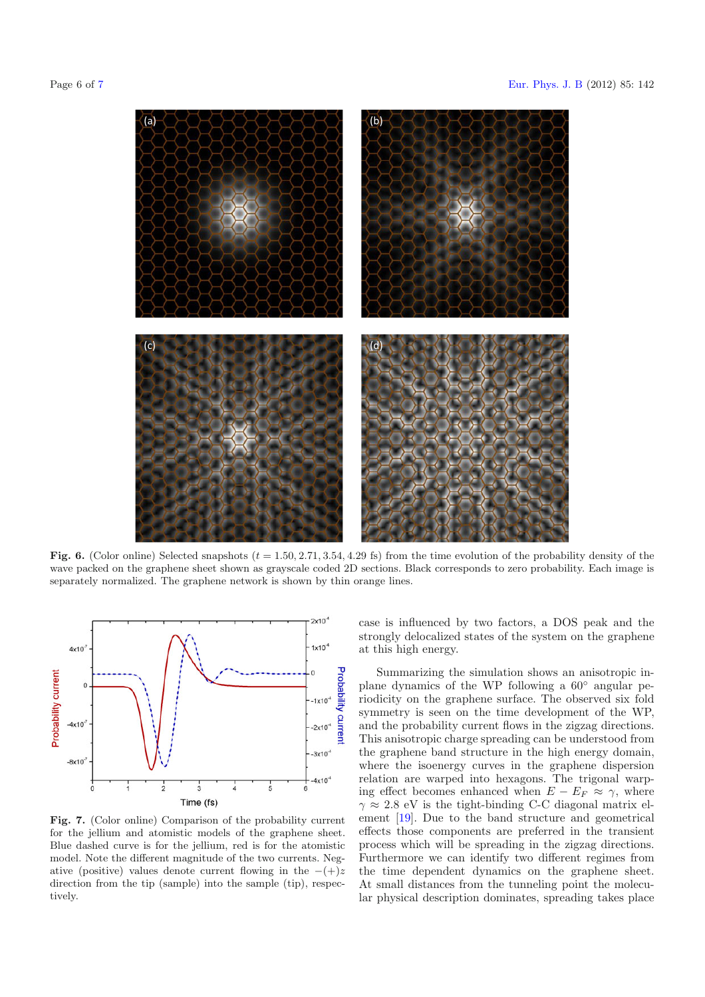

<span id="page-5-0"></span>**Fig. 6.** (Color online) Selected snapshots  $(t = 1.50, 2.71, 3.54, 4.29$  fs) from the time evolution of the probability density of the wave packed on the graphene sheet shown as grayscale coded 2D sections. Black corresponds to zero probability. Each image is separately normalized. The graphene network is shown by thin orange lines.

<span id="page-5-1"></span>

**Fig. 7.** (Color online) Comparison of the probability current for the jellium and atomistic models of the graphene sheet. Blue dashed curve is for the jellium, red is for the atomistic model. Note the different magnitude of the two currents. Negative (positive) values denote current flowing in the −(+)*z* direction from the tip (sample) into the sample (tip), respectively.

case is influenced by two factors, a DOS peak and the strongly delocalized states of the system on the graphene at this high energy.

Summarizing the simulation shows an anisotropic inplane dynamics of the WP following a 60◦ angular periodicity on the graphene surface. The observed six fold symmetry is seen on the time development of the WP, and the probability current flows in the zigzag directions. This anisotropic charge spreading can be understood from the graphene band structure in the high energy domain, where the isoenergy curves in the graphene dispersion relation are warped into hexagons. The trigonal warping effect becomes enhanced when  $E - E_F \approx \gamma$ , where  $\gamma \approx 2.8$  eV is the tight-binding C-C diagonal matrix element [\[19\]](#page-6-18). Due to the band structure and geometrical effects those components are preferred in the transient process which will be spreading in the zigzag directions. Furthermore we can identify two different regimes from the time dependent dynamics on the graphene sheet. At small distances from the tunneling point the molecular physical description dominates, spreading takes place